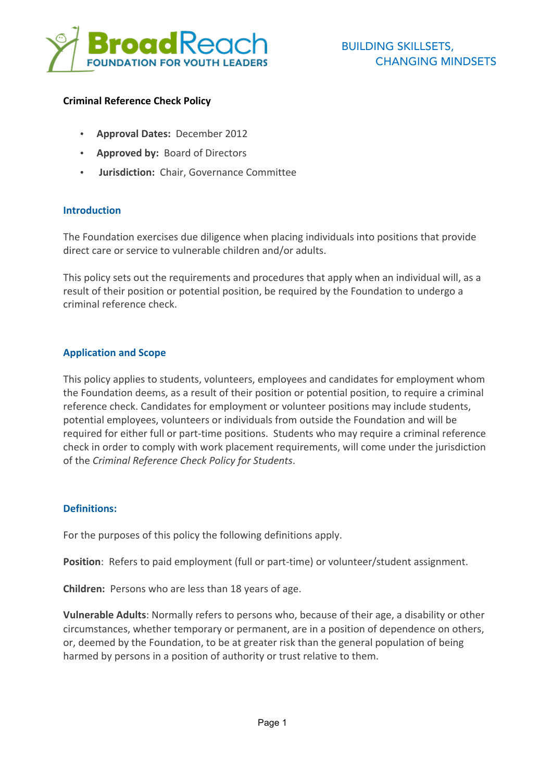

#### **Criminal Reference Check Policy**

- **Approval Dates:** December 2012
- **Approved by: Board of Directors**
- **Jurisdiction:** Chair, Governance Committee

#### **Introduction**

The Foundation exercises due diligence when placing individuals into positions that provide direct care or service to vulnerable children and/or adults.

This policy sets out the requirements and procedures that apply when an individual will, as a result of their position or potential position, be required by the Foundation to undergo a criminal reference check.

### **Application and Scope**

This policy applies to students, volunteers, employees and candidates for employment whom the Foundation deems, as a result of their position or potential position, to require a criminal reference check. Candidates for employment or volunteer positions may include students, potential employees, volunteers or individuals from outside the Foundation and will be required for either full or part-time positions. Students who may require a criminal reference check in order to comply with work placement requirements, will come under the jurisdiction of the *Criminal Reference Check Policy for Students*.

#### **Definitions:**

For the purposes of this policy the following definitions apply.

**Position**: Refers to paid employment (full or part-time) or volunteer/student assignment.

**Children:** Persons who are less than 18 years of age.

**Vulnerable Adults:** Normally refers to persons who, because of their age, a disability or other circumstances, whether temporary or permanent, are in a position of dependence on others, or, deemed by the Foundation, to be at greater risk than the general population of being harmed by persons in a position of authority or trust relative to them.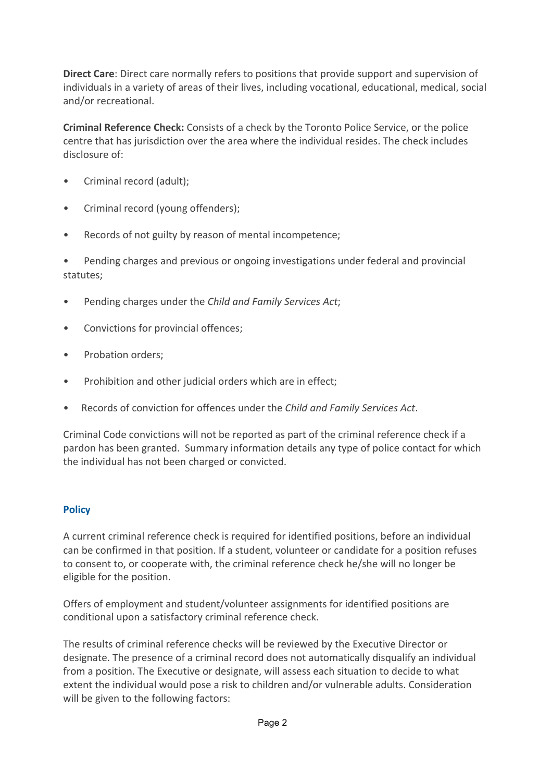**Direct Care:** Direct care normally refers to positions that provide support and supervision of individuals in a variety of areas of their lives, including vocational, educational, medical, social and/or recreational.

**Criminal Reference Check:** Consists of a check by the Toronto Police Service, or the police centre that has jurisdiction over the area where the individual resides. The check includes disclosure of:

- Criminal record (adult);
- Criminal record (young offenders);
- Records of not guilty by reason of mental incompetence;

Pending charges and previous or ongoing investigations under federal and provincial statutes;

- Pending charges under the *Child and Family Services Act*;
- Convictions for provincial offences;
- Probation orders;
- Prohibition and other judicial orders which are in effect;
- Records of conviction for offences under the *Child and Family Services Act*.

Criminal Code convictions will not be reported as part of the criminal reference check if a pardon has been granted. Summary information details any type of police contact for which the individual has not been charged or convicted.

# **Policy**

A current criminal reference check is required for identified positions, before an individual can be confirmed in that position. If a student, volunteer or candidate for a position refuses to consent to, or cooperate with, the criminal reference check he/she will no longer be eligible for the position.

Offers of employment and student/volunteer assignments for identified positions are conditional upon a satisfactory criminal reference check.

The results of criminal reference checks will be reviewed by the Executive Director or designate. The presence of a criminal record does not automatically disqualify an individual from a position. The Executive or designate, will assess each situation to decide to what extent the individual would pose a risk to children and/or vulnerable adults. Consideration will be given to the following factors: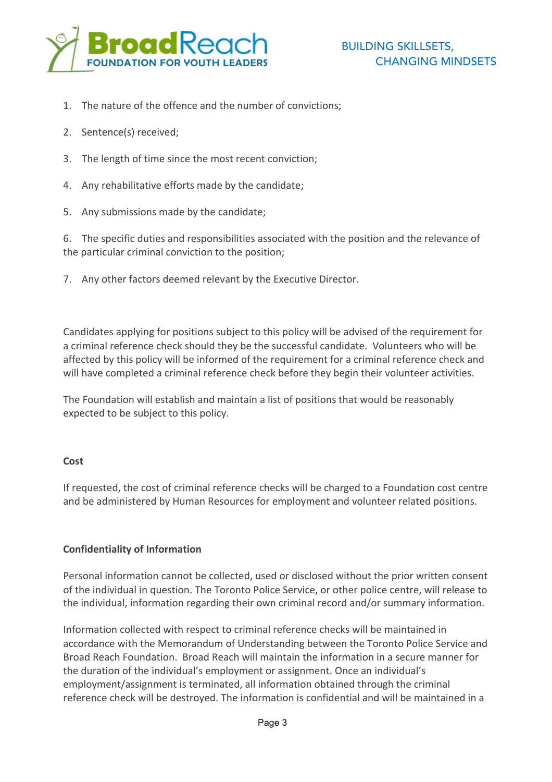

- 1. The nature of the offence and the number of convictions;
- 2. Sentence(s) received;
- 3. The length of time since the most recent conviction:
- 4. Any rehabilitative efforts made by the candidate;
- 5. Any submissions made by the candidate;

6. The specific duties and responsibilities associated with the position and the relevance of the particular criminal conviction to the position;

7. Any other factors deemed relevant by the Executive Director.

Candidates applying for positions subject to this policy will be advised of the requirement for a criminal reference check should they be the successful candidate. Volunteers who will be affected by this policy will be informed of the requirement for a criminal reference check and will have completed a criminal reference check before they begin their volunteer activities.

The Foundation will establish and maintain a list of positions that would be reasonably expected to be subject to this policy.

#### **Cost**

If requested, the cost of criminal reference checks will be charged to a Foundation cost centre and be administered by Human Resources for employment and volunteer related positions.

### **Confidentiality of Information**

Personal information cannot be collected, used or disclosed without the prior written consent of the individual in question. The Toronto Police Service, or other police centre, will release to the individual, information regarding their own criminal record and/or summary information.

Information collected with respect to criminal reference checks will be maintained in accordance with the Memorandum of Understanding between the Toronto Police Service and Broad Reach Foundation. Broad Reach will maintain the information in a secure manner for the duration of the individual's employment or assignment. Once an individual's employment/assignment is terminated, all information obtained through the criminal reference check will be destroyed. The information is confidential and will be maintained in a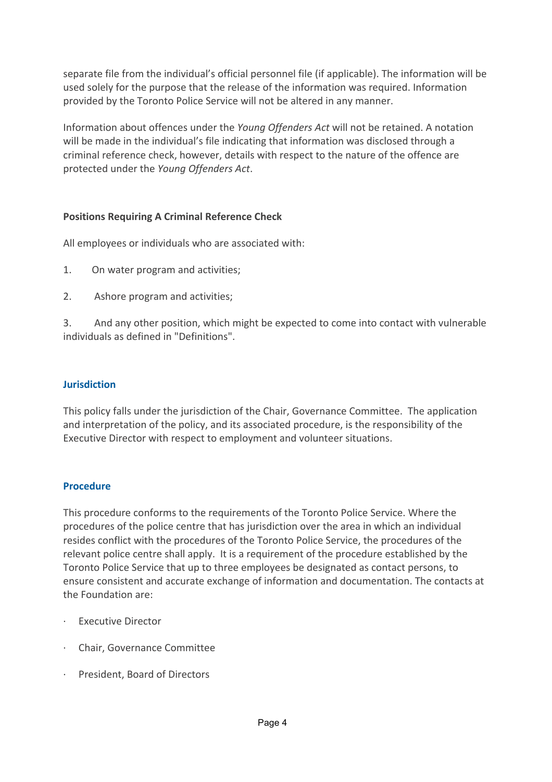separate file from the individual's official personnel file (if applicable). The information will be used solely for the purpose that the release of the information was required. Information provided by the Toronto Police Service will not be altered in any manner.

Information about offences under the *Young Offenders Act* will not be retained. A notation will be made in the individual's file indicating that information was disclosed through a criminal reference check, however, details with respect to the nature of the offence are protected under the *Young Offenders Act*.

## **Positions Requiring A Criminal Reference Check**

All employees or individuals who are associated with:

- 1. On water program and activities:
- 2. Ashore program and activities;

3. And any other position, which might be expected to come into contact with vulnerable individuals as defined in "Definitions".

## **Jurisdiction**

This policy falls under the jurisdiction of the Chair, Governance Committee. The application and interpretation of the policy, and its associated procedure, is the responsibility of the Executive Director with respect to employment and volunteer situations.

### **Procedure**

This procedure conforms to the requirements of the Toronto Police Service. Where the procedures of the police centre that has jurisdiction over the area in which an individual resides conflict with the procedures of the Toronto Police Service, the procedures of the relevant police centre shall apply. It is a requirement of the procedure established by the Toronto Police Service that up to three employees be designated as contact persons, to ensure consistent and accurate exchange of information and documentation. The contacts at the Foundation are:

- · Executive Director
- · Chair, Governance Committee
- · President, Board of Directors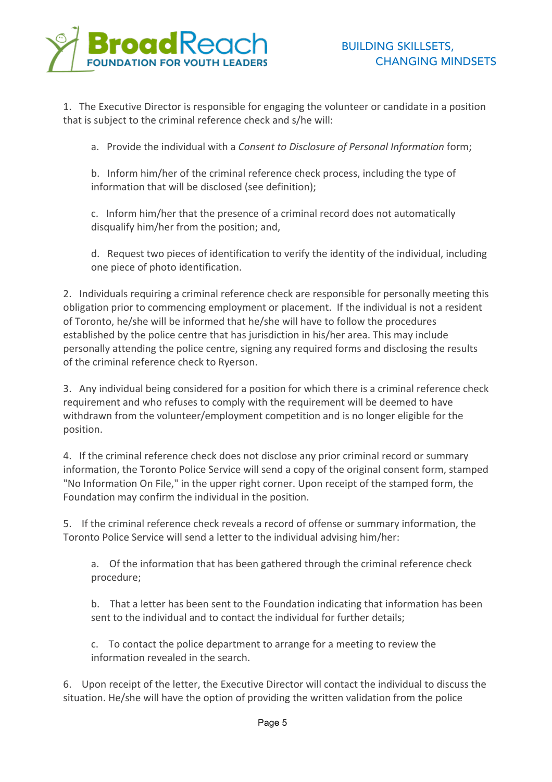

1. The Executive Director is responsible for engaging the volunteer or candidate in a position that is subject to the criminal reference check and s/he will:

a. Provide the individual with a *Consent to Disclosure of Personal Information* form;

b. Inform him/her of the criminal reference check process, including the type of information that will be disclosed (see definition);

c. Inform him/her that the presence of a criminal record does not automatically disqualify him/her from the position; and,

d. Request two pieces of identification to verify the identity of the individual, including one piece of photo identification.

2. Individuals requiring a criminal reference check are responsible for personally meeting this obligation prior to commencing employment or placement. If the individual is not a resident of Toronto, he/she will be informed that he/she will have to follow the procedures established by the police centre that has jurisdiction in his/her area. This may include personally attending the police centre, signing any required forms and disclosing the results of the criminal reference check to Ryerson.

3. Any individual being considered for a position for which there is a criminal reference check requirement and who refuses to comply with the requirement will be deemed to have withdrawn from the volunteer/employment competition and is no longer eligible for the position.

4. If the criminal reference check does not disclose any prior criminal record or summary information, the Toronto Police Service will send a copy of the original consent form, stamped "No Information On File," in the upper right corner. Upon receipt of the stamped form, the Foundation may confirm the individual in the position.

5. If the criminal reference check reveals a record of offense or summary information, the Toronto Police Service will send a letter to the individual advising him/her:

a. Of the information that has been gathered through the criminal reference check procedure;

b. That a letter has been sent to the Foundation indicating that information has been sent to the individual and to contact the individual for further details:

c. To contact the police department to arrange for a meeting to review the information revealed in the search.

6. Upon receipt of the letter, the Executive Director will contact the individual to discuss the situation. He/she will have the option of providing the written validation from the police